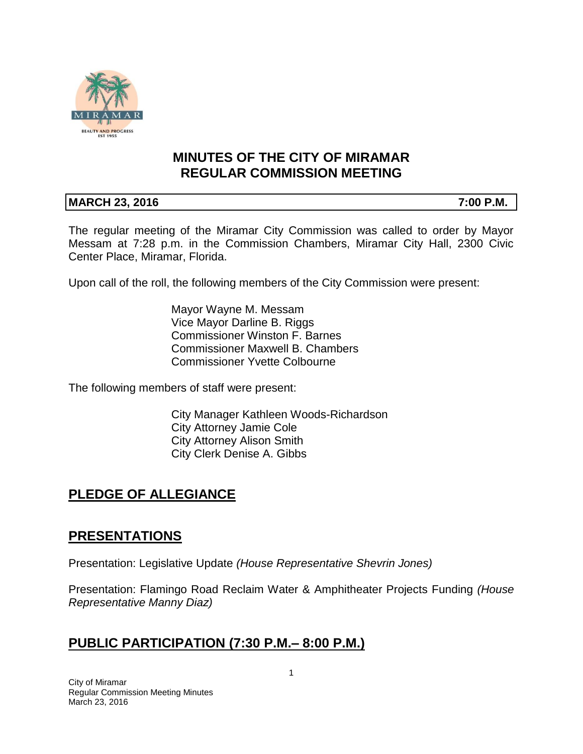

## **MINUTES OF THE CITY OF MIRAMAR REGULAR COMMISSION MEETING**

### **MARCH 23, 2016** 7:00 P.M.

The regular meeting of the Miramar City Commission was called to order by Mayor Messam at 7:28 p.m. in the Commission Chambers, Miramar City Hall, 2300 Civic Center Place, Miramar, Florida.

Upon call of the roll, the following members of the City Commission were present:

Mayor Wayne M. Messam Vice Mayor Darline B. Riggs Commissioner Winston F. Barnes Commissioner Maxwell B. Chambers Commissioner Yvette Colbourne

The following members of staff were present:

City Manager Kathleen Woods-Richardson City Attorney Jamie Cole City Attorney Alison Smith City Clerk Denise A. Gibbs

# **PLEDGE OF ALLEGIANCE**

# **PRESENTATIONS**

Presentation: Legislative Update *(House Representative Shevrin Jones)*

Presentation: Flamingo Road Reclaim Water & Amphitheater Projects Funding *(House Representative Manny Diaz)*

# **PUBLIC PARTICIPATION (7:30 P.M.– 8:00 P.M.)**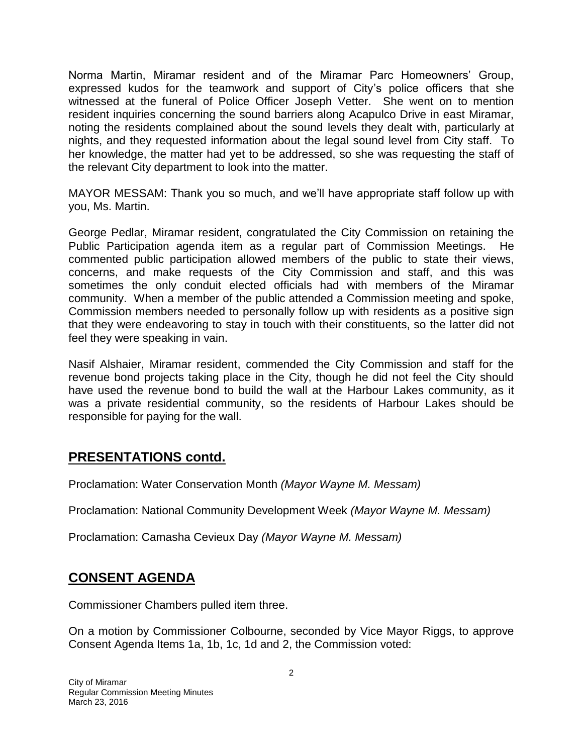Norma Martin, Miramar resident and of the Miramar Parc Homeowners' Group, expressed kudos for the teamwork and support of City's police officers that she witnessed at the funeral of Police Officer Joseph Vetter. She went on to mention resident inquiries concerning the sound barriers along Acapulco Drive in east Miramar, noting the residents complained about the sound levels they dealt with, particularly at nights, and they requested information about the legal sound level from City staff. To her knowledge, the matter had yet to be addressed, so she was requesting the staff of the relevant City department to look into the matter.

MAYOR MESSAM: Thank you so much, and we'll have appropriate staff follow up with you, Ms. Martin.

George Pedlar, Miramar resident, congratulated the City Commission on retaining the Public Participation agenda item as a regular part of Commission Meetings. He commented public participation allowed members of the public to state their views, concerns, and make requests of the City Commission and staff, and this was sometimes the only conduit elected officials had with members of the Miramar community. When a member of the public attended a Commission meeting and spoke, Commission members needed to personally follow up with residents as a positive sign that they were endeavoring to stay in touch with their constituents, so the latter did not feel they were speaking in vain.

Nasif Alshaier, Miramar resident, commended the City Commission and staff for the revenue bond projects taking place in the City, though he did not feel the City should have used the revenue bond to build the wall at the Harbour Lakes community, as it was a private residential community, so the residents of Harbour Lakes should be responsible for paying for the wall.

# **PRESENTATIONS contd.**

Proclamation: Water Conservation Month *(Mayor Wayne M. Messam)*

Proclamation: National Community Development Week *(Mayor Wayne M. Messam)*

Proclamation: Camasha Cevieux Day *(Mayor Wayne M. Messam)*

# **CONSENT AGENDA**

Commissioner Chambers pulled item three.

On a motion by Commissioner Colbourne, seconded by Vice Mayor Riggs, to approve Consent Agenda Items 1a, 1b, 1c, 1d and 2, the Commission voted: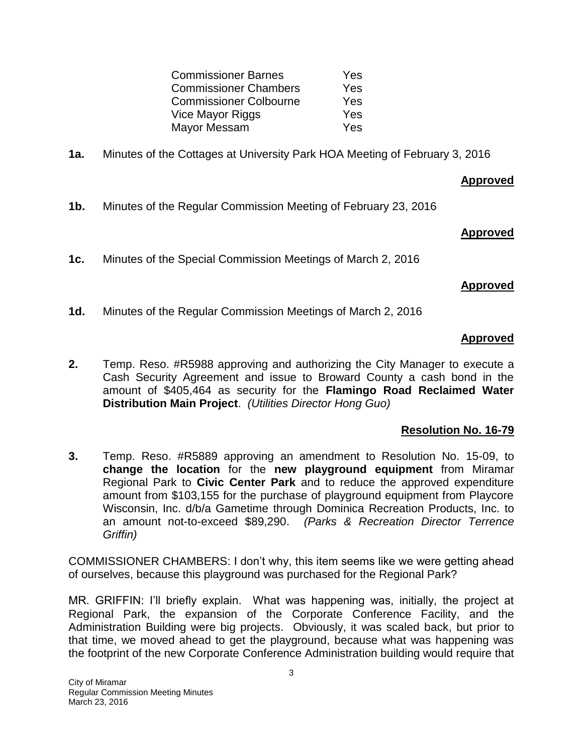| <b>Commissioner Barnes</b>    | Yes |
|-------------------------------|-----|
| <b>Commissioner Chambers</b>  | Yes |
| <b>Commissioner Colbourne</b> | Yes |
| Vice Mayor Riggs              | Yes |
| Mayor Messam                  | Yes |

**1a.** Minutes of the Cottages at University Park HOA Meeting of February 3, 2016

### **Approved**

**1b.** Minutes of the Regular Commission Meeting of February 23, 2016

### **Approved**

**1c.** Minutes of the Special Commission Meetings of March 2, 2016

### **Approved**

**1d.** Minutes of the Regular Commission Meetings of March 2, 2016

### **Approved**

**2.** Temp. Reso. #R5988 approving and authorizing the City Manager to execute a Cash Security Agreement and issue to Broward County a cash bond in the amount of \$405,464 as security for the **Flamingo Road Reclaimed Water Distribution Main Project**. *(Utilities Director Hong Guo)*

### **Resolution No. 16-79**

**3.** Temp. Reso. #R5889 approving an amendment to Resolution No. 15-09, to **change the location** for the **new playground equipment** from Miramar Regional Park to **Civic Center Park** and to reduce the approved expenditure amount from \$103,155 for the purchase of playground equipment from Playcore Wisconsin, Inc. d/b/a Gametime through Dominica Recreation Products, Inc. to an amount not-to-exceed \$89,290. *(Parks & Recreation Director Terrence Griffin)*

COMMISSIONER CHAMBERS: I don't why, this item seems like we were getting ahead of ourselves, because this playground was purchased for the Regional Park?

MR. GRIFFIN: I'll briefly explain. What was happening was, initially, the project at Regional Park, the expansion of the Corporate Conference Facility, and the Administration Building were big projects. Obviously, it was scaled back, but prior to that time, we moved ahead to get the playground, because what was happening was the footprint of the new Corporate Conference Administration building would require that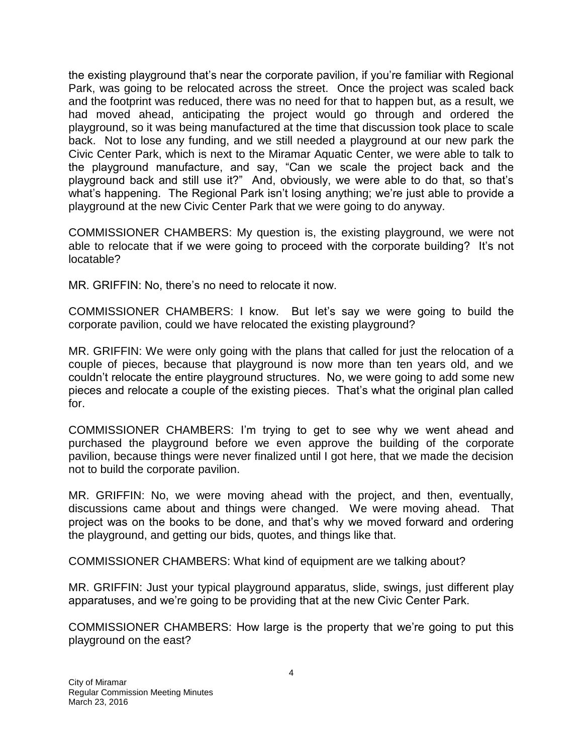the existing playground that's near the corporate pavilion, if you're familiar with Regional Park, was going to be relocated across the street. Once the project was scaled back and the footprint was reduced, there was no need for that to happen but, as a result, we had moved ahead, anticipating the project would go through and ordered the playground, so it was being manufactured at the time that discussion took place to scale back. Not to lose any funding, and we still needed a playground at our new park the Civic Center Park, which is next to the Miramar Aquatic Center, we were able to talk to the playground manufacture, and say, "Can we scale the project back and the playground back and still use it?" And, obviously, we were able to do that, so that's what's happening. The Regional Park isn't losing anything; we're just able to provide a playground at the new Civic Center Park that we were going to do anyway.

COMMISSIONER CHAMBERS: My question is, the existing playground, we were not able to relocate that if we were going to proceed with the corporate building? It's not locatable?

MR. GRIFFIN: No, there's no need to relocate it now.

COMMISSIONER CHAMBERS: I know. But let's say we were going to build the corporate pavilion, could we have relocated the existing playground?

MR. GRIFFIN: We were only going with the plans that called for just the relocation of a couple of pieces, because that playground is now more than ten years old, and we couldn't relocate the entire playground structures. No, we were going to add some new pieces and relocate a couple of the existing pieces. That's what the original plan called for.

COMMISSIONER CHAMBERS: I'm trying to get to see why we went ahead and purchased the playground before we even approve the building of the corporate pavilion, because things were never finalized until I got here, that we made the decision not to build the corporate pavilion.

MR. GRIFFIN: No, we were moving ahead with the project, and then, eventually, discussions came about and things were changed. We were moving ahead. That project was on the books to be done, and that's why we moved forward and ordering the playground, and getting our bids, quotes, and things like that.

COMMISSIONER CHAMBERS: What kind of equipment are we talking about?

MR. GRIFFIN: Just your typical playground apparatus, slide, swings, just different play apparatuses, and we're going to be providing that at the new Civic Center Park.

COMMISSIONER CHAMBERS: How large is the property that we're going to put this playground on the east?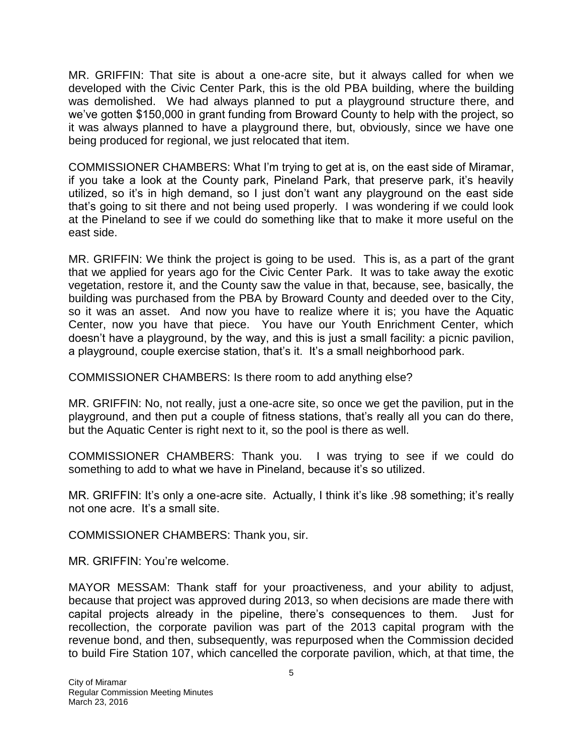MR. GRIFFIN: That site is about a one-acre site, but it always called for when we developed with the Civic Center Park, this is the old PBA building, where the building was demolished. We had always planned to put a playground structure there, and we've gotten \$150,000 in grant funding from Broward County to help with the project, so it was always planned to have a playground there, but, obviously, since we have one being produced for regional, we just relocated that item.

COMMISSIONER CHAMBERS: What I'm trying to get at is, on the east side of Miramar, if you take a look at the County park, Pineland Park, that preserve park, it's heavily utilized, so it's in high demand, so I just don't want any playground on the east side that's going to sit there and not being used properly. I was wondering if we could look at the Pineland to see if we could do something like that to make it more useful on the east side.

MR. GRIFFIN: We think the project is going to be used. This is, as a part of the grant that we applied for years ago for the Civic Center Park. It was to take away the exotic vegetation, restore it, and the County saw the value in that, because, see, basically, the building was purchased from the PBA by Broward County and deeded over to the City, so it was an asset. And now you have to realize where it is; you have the Aquatic Center, now you have that piece. You have our Youth Enrichment Center, which doesn't have a playground, by the way, and this is just a small facility: a picnic pavilion, a playground, couple exercise station, that's it. It's a small neighborhood park.

COMMISSIONER CHAMBERS: Is there room to add anything else?

MR. GRIFFIN: No, not really, just a one-acre site, so once we get the pavilion, put in the playground, and then put a couple of fitness stations, that's really all you can do there, but the Aquatic Center is right next to it, so the pool is there as well.

COMMISSIONER CHAMBERS: Thank you. I was trying to see if we could do something to add to what we have in Pineland, because it's so utilized.

MR. GRIFFIN: It's only a one-acre site. Actually, I think it's like .98 something; it's really not one acre. It's a small site.

COMMISSIONER CHAMBERS: Thank you, sir.

MR. GRIFFIN: You're welcome.

MAYOR MESSAM: Thank staff for your proactiveness, and your ability to adjust, because that project was approved during 2013, so when decisions are made there with capital projects already in the pipeline, there's consequences to them. Just for recollection, the corporate pavilion was part of the 2013 capital program with the revenue bond, and then, subsequently, was repurposed when the Commission decided to build Fire Station 107, which cancelled the corporate pavilion, which, at that time, the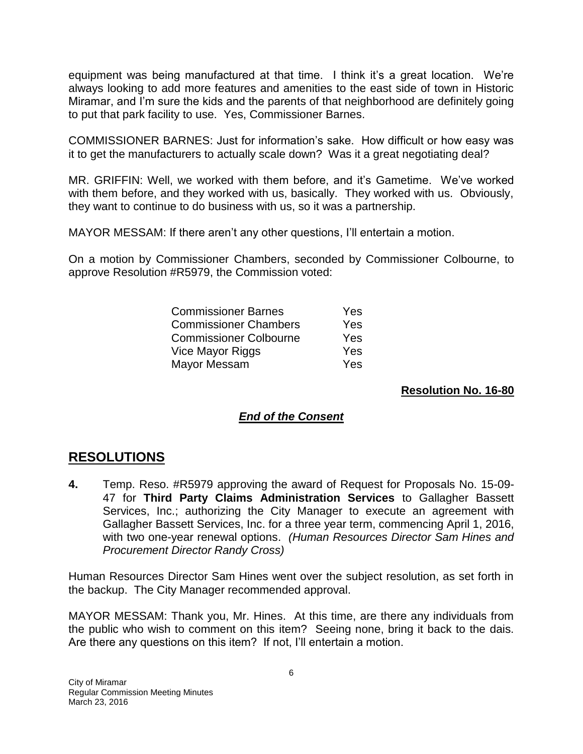equipment was being manufactured at that time. I think it's a great location. We're always looking to add more features and amenities to the east side of town in Historic Miramar, and I'm sure the kids and the parents of that neighborhood are definitely going to put that park facility to use. Yes, Commissioner Barnes.

COMMISSIONER BARNES: Just for information's sake. How difficult or how easy was it to get the manufacturers to actually scale down? Was it a great negotiating deal?

MR. GRIFFIN: Well, we worked with them before, and it's Gametime. We've worked with them before, and they worked with us, basically. They worked with us. Obviously, they want to continue to do business with us, so it was a partnership.

MAYOR MESSAM: If there aren't any other questions, I'll entertain a motion.

On a motion by Commissioner Chambers, seconded by Commissioner Colbourne, to approve Resolution #R5979, the Commission voted:

| <b>Commissioner Barnes</b>    | <b>Yes</b> |
|-------------------------------|------------|
| <b>Commissioner Chambers</b>  | <b>Yes</b> |
| <b>Commissioner Colbourne</b> | Yes        |
| Vice Mayor Riggs              | <b>Yes</b> |
| Mayor Messam                  | Yes.       |

### **Resolution No. 16-80**

### *End of the Consent*

# **RESOLUTIONS**

**4.** Temp. Reso. #R5979 approving the award of Request for Proposals No. 15-09- 47 for **Third Party Claims Administration Services** to Gallagher Bassett Services, Inc.; authorizing the City Manager to execute an agreement with Gallagher Bassett Services, Inc. for a three year term, commencing April 1, 2016, with two one-year renewal options. *(Human Resources Director Sam Hines and Procurement Director Randy Cross)*

Human Resources Director Sam Hines went over the subject resolution, as set forth in the backup. The City Manager recommended approval.

MAYOR MESSAM: Thank you, Mr. Hines. At this time, are there any individuals from the public who wish to comment on this item? Seeing none, bring it back to the dais. Are there any questions on this item? If not, I'll entertain a motion.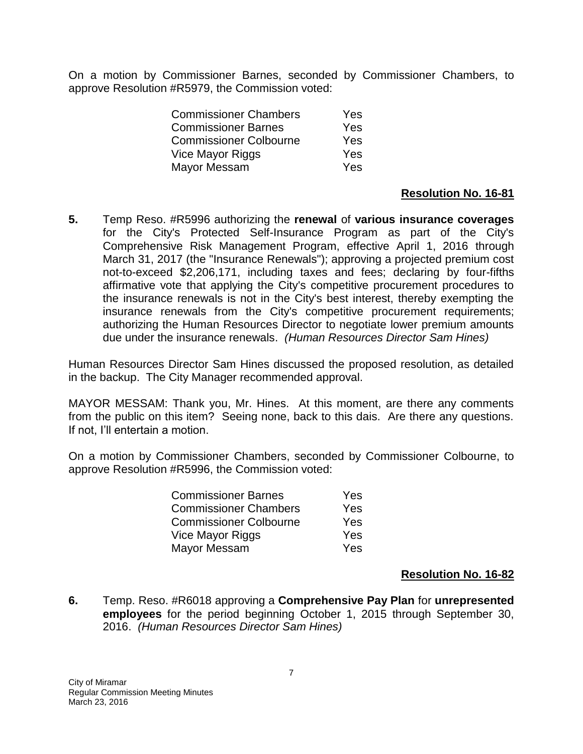On a motion by Commissioner Barnes, seconded by Commissioner Chambers, to approve Resolution #R5979, the Commission voted:

| <b>Commissioner Chambers</b>  | Yes |
|-------------------------------|-----|
| <b>Commissioner Barnes</b>    | Yes |
| <b>Commissioner Colbourne</b> | Yes |
| Vice Mayor Riggs              | Yes |
| Mayor Messam                  | Yes |
|                               |     |

### **Resolution No. 16-81**

**5.** Temp Reso. #R5996 authorizing the **renewal** of **various insurance coverages** for the City's Protected Self-Insurance Program as part of the City's Comprehensive Risk Management Program, effective April 1, 2016 through March 31, 2017 (the "Insurance Renewals"); approving a projected premium cost not-to-exceed \$2,206,171, including taxes and fees; declaring by four-fifths affirmative vote that applying the City's competitive procurement procedures to the insurance renewals is not in the City's best interest, thereby exempting the insurance renewals from the City's competitive procurement requirements; authorizing the Human Resources Director to negotiate lower premium amounts due under the insurance renewals. *(Human Resources Director Sam Hines)*

Human Resources Director Sam Hines discussed the proposed resolution, as detailed in the backup. The City Manager recommended approval.

MAYOR MESSAM: Thank you, Mr. Hines. At this moment, are there any comments from the public on this item? Seeing none, back to this dais. Are there any questions. If not, I'll entertain a motion.

On a motion by Commissioner Chambers, seconded by Commissioner Colbourne, to approve Resolution #R5996, the Commission voted:

| <b>Commissioner Barnes</b>    | Yes |
|-------------------------------|-----|
| <b>Commissioner Chambers</b>  | Yes |
| <b>Commissioner Colbourne</b> | Yes |
| Vice Mayor Riggs              | Yes |
| Mayor Messam                  | Yes |

### **Resolution No. 16-82**

**6.** Temp. Reso. #R6018 approving a **Comprehensive Pay Plan** for **unrepresented employees** for the period beginning October 1, 2015 through September 30, 2016. *(Human Resources Director Sam Hines)*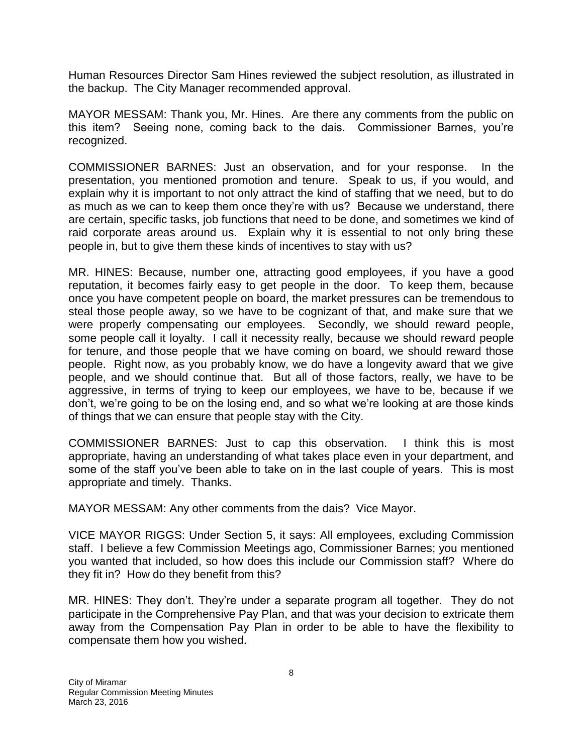Human Resources Director Sam Hines reviewed the subject resolution, as illustrated in the backup. The City Manager recommended approval.

MAYOR MESSAM: Thank you, Mr. Hines. Are there any comments from the public on this item? Seeing none, coming back to the dais. Commissioner Barnes, you're recognized.

COMMISSIONER BARNES: Just an observation, and for your response. In the presentation, you mentioned promotion and tenure. Speak to us, if you would, and explain why it is important to not only attract the kind of staffing that we need, but to do as much as we can to keep them once they're with us? Because we understand, there are certain, specific tasks, job functions that need to be done, and sometimes we kind of raid corporate areas around us. Explain why it is essential to not only bring these people in, but to give them these kinds of incentives to stay with us?

MR. HINES: Because, number one, attracting good employees, if you have a good reputation, it becomes fairly easy to get people in the door. To keep them, because once you have competent people on board, the market pressures can be tremendous to steal those people away, so we have to be cognizant of that, and make sure that we were properly compensating our employees. Secondly, we should reward people, some people call it loyalty. I call it necessity really, because we should reward people for tenure, and those people that we have coming on board, we should reward those people. Right now, as you probably know, we do have a longevity award that we give people, and we should continue that. But all of those factors, really, we have to be aggressive, in terms of trying to keep our employees, we have to be, because if we don't, we're going to be on the losing end, and so what we're looking at are those kinds of things that we can ensure that people stay with the City.

COMMISSIONER BARNES: Just to cap this observation. I think this is most appropriate, having an understanding of what takes place even in your department, and some of the staff you've been able to take on in the last couple of years. This is most appropriate and timely. Thanks.

MAYOR MESSAM: Any other comments from the dais? Vice Mayor.

VICE MAYOR RIGGS: Under Section 5, it says: All employees, excluding Commission staff. I believe a few Commission Meetings ago, Commissioner Barnes; you mentioned you wanted that included, so how does this include our Commission staff? Where do they fit in? How do they benefit from this?

MR. HINES: They don't. They're under a separate program all together. They do not participate in the Comprehensive Pay Plan, and that was your decision to extricate them away from the Compensation Pay Plan in order to be able to have the flexibility to compensate them how you wished.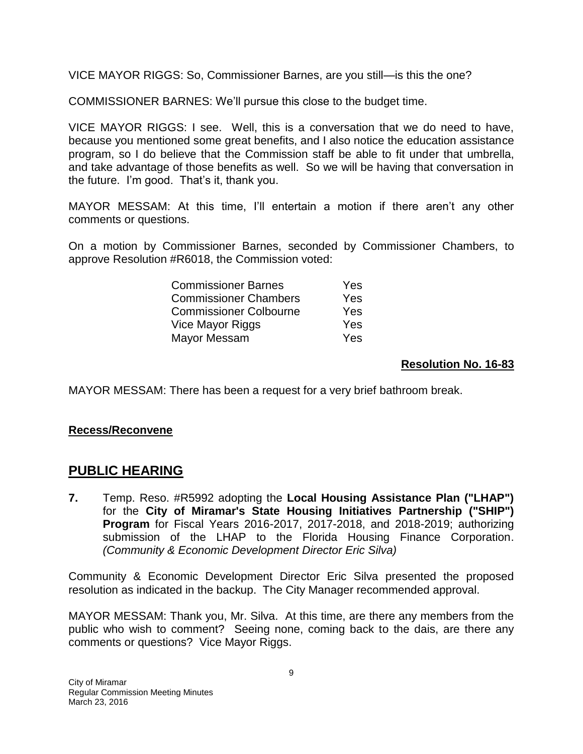VICE MAYOR RIGGS: So, Commissioner Barnes, are you still—is this the one?

COMMISSIONER BARNES: We'll pursue this close to the budget time.

VICE MAYOR RIGGS: I see. Well, this is a conversation that we do need to have, because you mentioned some great benefits, and I also notice the education assistance program, so I do believe that the Commission staff be able to fit under that umbrella, and take advantage of those benefits as well. So we will be having that conversation in the future. I'm good. That's it, thank you.

MAYOR MESSAM: At this time, I'll entertain a motion if there aren't any other comments or questions.

On a motion by Commissioner Barnes, seconded by Commissioner Chambers, to approve Resolution #R6018, the Commission voted:

| <b>Commissioner Barnes</b>    | <b>Yes</b> |
|-------------------------------|------------|
| <b>Commissioner Chambers</b>  | Yes        |
| <b>Commissioner Colbourne</b> | Yes        |
| Vice Mayor Riggs              | Yes        |
| Mayor Messam                  | Yes        |

### **Resolution No. 16-83**

MAYOR MESSAM: There has been a request for a very brief bathroom break.

### **Recess/Reconvene**

## **PUBLIC HEARING**

**7.** Temp. Reso. #R5992 adopting the **Local Housing Assistance Plan ("LHAP")** for the **City of Miramar's State Housing Initiatives Partnership ("SHIP") Program** for Fiscal Years 2016-2017, 2017-2018, and 2018-2019; authorizing submission of the LHAP to the Florida Housing Finance Corporation. *(Community & Economic Development Director Eric Silva)*

Community & Economic Development Director Eric Silva presented the proposed resolution as indicated in the backup. The City Manager recommended approval.

MAYOR MESSAM: Thank you, Mr. Silva. At this time, are there any members from the public who wish to comment? Seeing none, coming back to the dais, are there any comments or questions? Vice Mayor Riggs.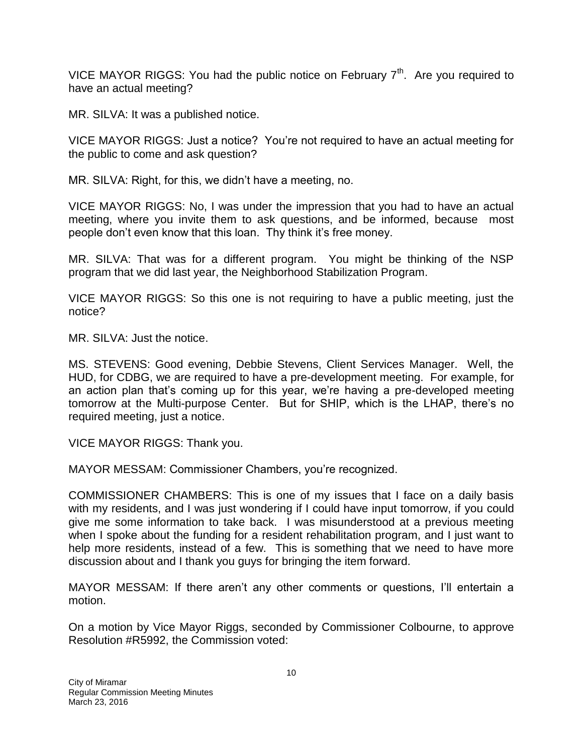VICE MAYOR RIGGS: You had the public notice on February  $7<sup>th</sup>$ . Are you required to have an actual meeting?

MR. SILVA: It was a published notice.

VICE MAYOR RIGGS: Just a notice? You're not required to have an actual meeting for the public to come and ask question?

MR. SILVA: Right, for this, we didn't have a meeting, no.

VICE MAYOR RIGGS: No, I was under the impression that you had to have an actual meeting, where you invite them to ask questions, and be informed, because most people don't even know that this loan. Thy think it's free money.

MR. SILVA: That was for a different program. You might be thinking of the NSP program that we did last year, the Neighborhood Stabilization Program.

VICE MAYOR RIGGS: So this one is not requiring to have a public meeting, just the notice?

MR. SILVA: Just the notice.

MS. STEVENS: Good evening, Debbie Stevens, Client Services Manager. Well, the HUD, for CDBG, we are required to have a pre-development meeting. For example, for an action plan that's coming up for this year, we're having a pre-developed meeting tomorrow at the Multi-purpose Center. But for SHIP, which is the LHAP, there's no required meeting, just a notice.

VICE MAYOR RIGGS: Thank you.

MAYOR MESSAM: Commissioner Chambers, you're recognized.

COMMISSIONER CHAMBERS: This is one of my issues that I face on a daily basis with my residents, and I was just wondering if I could have input tomorrow, if you could give me some information to take back. I was misunderstood at a previous meeting when I spoke about the funding for a resident rehabilitation program, and I just want to help more residents, instead of a few. This is something that we need to have more discussion about and I thank you guys for bringing the item forward.

MAYOR MESSAM: If there aren't any other comments or questions, I'll entertain a motion.

On a motion by Vice Mayor Riggs, seconded by Commissioner Colbourne, to approve Resolution #R5992, the Commission voted: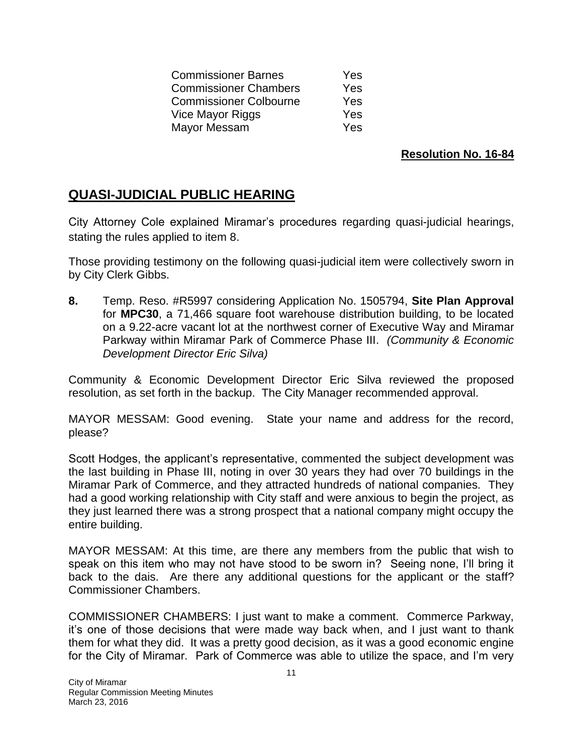Commissioner Barnes Yes Commissioner Chambers Yes Commissioner Colbourne Yes Vice Mayor Riggs **Yes** Mayor Messam Yes

**Resolution No. 16-84**

# **QUASI-JUDICIAL PUBLIC HEARING**

City Attorney Cole explained Miramar's procedures regarding quasi-judicial hearings, stating the rules applied to item 8.

Those providing testimony on the following quasi-judicial item were collectively sworn in by City Clerk Gibbs.

**8.** Temp. Reso. #R5997 considering Application No. 1505794, **Site Plan Approval** for **MPC30**, a 71,466 square foot warehouse distribution building, to be located on a 9.22-acre vacant lot at the northwest corner of Executive Way and Miramar Parkway within Miramar Park of Commerce Phase III. *(Community & Economic Development Director Eric Silva)*

Community & Economic Development Director Eric Silva reviewed the proposed resolution, as set forth in the backup. The City Manager recommended approval.

MAYOR MESSAM: Good evening. State your name and address for the record, please?

Scott Hodges, the applicant's representative, commented the subject development was the last building in Phase III, noting in over 30 years they had over 70 buildings in the Miramar Park of Commerce, and they attracted hundreds of national companies. They had a good working relationship with City staff and were anxious to begin the project, as they just learned there was a strong prospect that a national company might occupy the entire building.

MAYOR MESSAM: At this time, are there any members from the public that wish to speak on this item who may not have stood to be sworn in? Seeing none, I'll bring it back to the dais. Are there any additional questions for the applicant or the staff? Commissioner Chambers.

COMMISSIONER CHAMBERS: I just want to make a comment. Commerce Parkway, it's one of those decisions that were made way back when, and I just want to thank them for what they did. It was a pretty good decision, as it was a good economic engine for the City of Miramar. Park of Commerce was able to utilize the space, and I'm very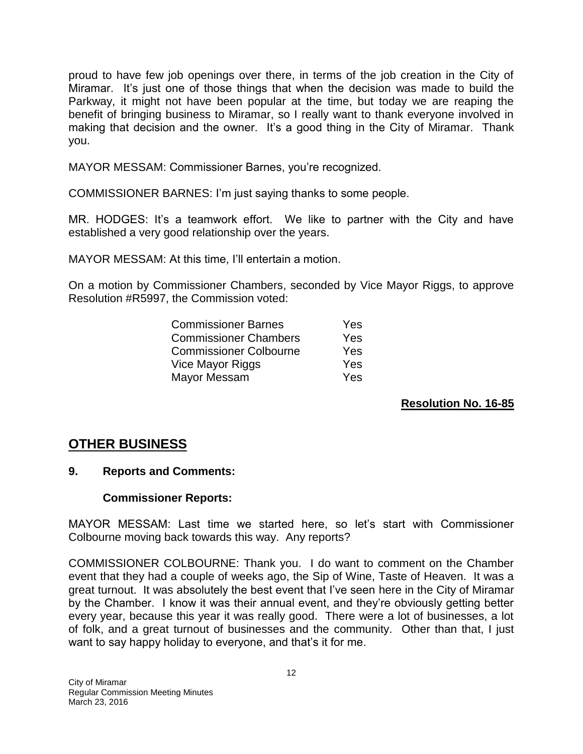proud to have few job openings over there, in terms of the job creation in the City of Miramar. It's just one of those things that when the decision was made to build the Parkway, it might not have been popular at the time, but today we are reaping the benefit of bringing business to Miramar, so I really want to thank everyone involved in making that decision and the owner. It's a good thing in the City of Miramar. Thank you.

MAYOR MESSAM: Commissioner Barnes, you're recognized.

COMMISSIONER BARNES: I'm just saying thanks to some people.

MR. HODGES: It's a teamwork effort. We like to partner with the City and have established a very good relationship over the years.

MAYOR MESSAM: At this time, I'll entertain a motion.

On a motion by Commissioner Chambers, seconded by Vice Mayor Riggs, to approve Resolution #R5997, the Commission voted:

| <b>Commissioner Barnes</b>    | Yes |
|-------------------------------|-----|
| <b>Commissioner Chambers</b>  | Yes |
| <b>Commissioner Colbourne</b> | Yes |
| Vice Mayor Riggs              | Yes |
| Mayor Messam                  | Yes |

**Resolution No. 16-85**

# **OTHER BUSINESS**

### **9. Reports and Comments:**

### **Commissioner Reports:**

MAYOR MESSAM: Last time we started here, so let's start with Commissioner Colbourne moving back towards this way. Any reports?

COMMISSIONER COLBOURNE: Thank you. I do want to comment on the Chamber event that they had a couple of weeks ago, the Sip of Wine, Taste of Heaven. It was a great turnout. It was absolutely the best event that I've seen here in the City of Miramar by the Chamber. I know it was their annual event, and they're obviously getting better every year, because this year it was really good. There were a lot of businesses, a lot of folk, and a great turnout of businesses and the community. Other than that, I just want to say happy holiday to everyone, and that's it for me.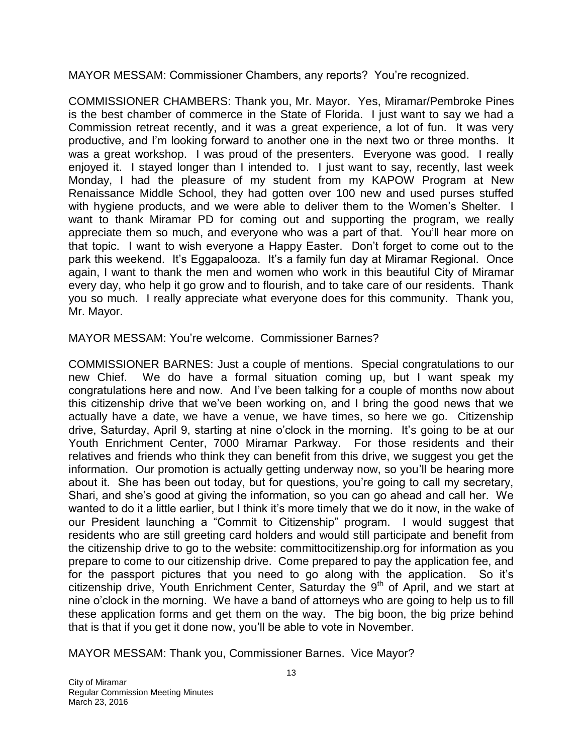MAYOR MESSAM: Commissioner Chambers, any reports? You're recognized.

COMMISSIONER CHAMBERS: Thank you, Mr. Mayor. Yes, Miramar/Pembroke Pines is the best chamber of commerce in the State of Florida. I just want to say we had a Commission retreat recently, and it was a great experience, a lot of fun. It was very productive, and I'm looking forward to another one in the next two or three months. It was a great workshop. I was proud of the presenters. Everyone was good. I really enjoyed it. I stayed longer than I intended to. I just want to say, recently, last week Monday, I had the pleasure of my student from my KAPOW Program at New Renaissance Middle School, they had gotten over 100 new and used purses stuffed with hygiene products, and we were able to deliver them to the Women's Shelter. I want to thank Miramar PD for coming out and supporting the program, we really appreciate them so much, and everyone who was a part of that. You'll hear more on that topic. I want to wish everyone a Happy Easter. Don't forget to come out to the park this weekend. It's Eggapalooza. It's a family fun day at Miramar Regional. Once again, I want to thank the men and women who work in this beautiful City of Miramar every day, who help it go grow and to flourish, and to take care of our residents. Thank you so much. I really appreciate what everyone does for this community. Thank you, Mr. Mayor.

MAYOR MESSAM: You're welcome. Commissioner Barnes?

COMMISSIONER BARNES: Just a couple of mentions. Special congratulations to our new Chief. We do have a formal situation coming up, but I want speak my congratulations here and now. And I've been talking for a couple of months now about this citizenship drive that we've been working on, and I bring the good news that we actually have a date, we have a venue, we have times, so here we go. Citizenship drive, Saturday, April 9, starting at nine o'clock in the morning. It's going to be at our Youth Enrichment Center, 7000 Miramar Parkway. For those residents and their relatives and friends who think they can benefit from this drive, we suggest you get the information. Our promotion is actually getting underway now, so you'll be hearing more about it. She has been out today, but for questions, you're going to call my secretary, Shari, and she's good at giving the information, so you can go ahead and call her. We wanted to do it a little earlier, but I think it's more timely that we do it now, in the wake of our President launching a "Commit to Citizenship" program. I would suggest that residents who are still greeting card holders and would still participate and benefit from the citizenship drive to go to the website: committocitizenship.org for information as you prepare to come to our citizenship drive. Come prepared to pay the application fee, and for the passport pictures that you need to go along with the application. So it's citizenship drive, Youth Enrichment Center, Saturday the  $9<sup>th</sup>$  of April, and we start at nine o'clock in the morning. We have a band of attorneys who are going to help us to fill these application forms and get them on the way. The big boon, the big prize behind that is that if you get it done now, you'll be able to vote in November.

MAYOR MESSAM: Thank you, Commissioner Barnes. Vice Mayor?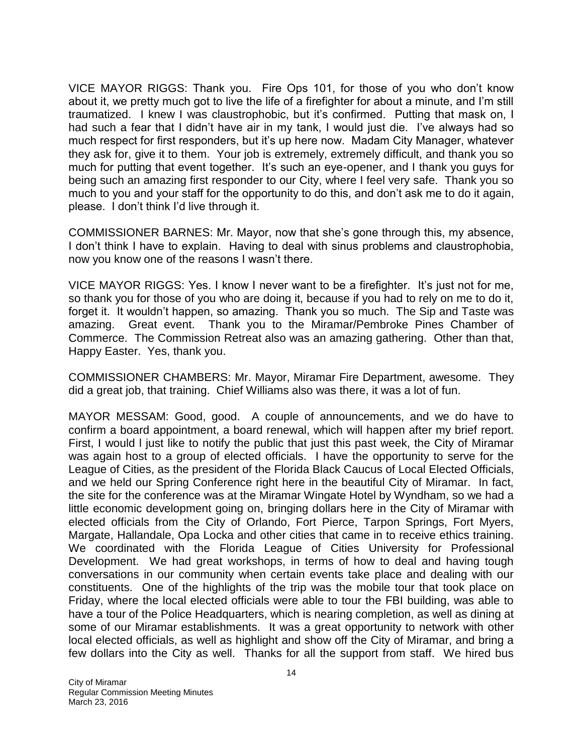VICE MAYOR RIGGS: Thank you. Fire Ops 101, for those of you who don't know about it, we pretty much got to live the life of a firefighter for about a minute, and I'm still traumatized. I knew I was claustrophobic, but it's confirmed. Putting that mask on, I had such a fear that I didn't have air in my tank, I would just die. I've always had so much respect for first responders, but it's up here now. Madam City Manager, whatever they ask for, give it to them. Your job is extremely, extremely difficult, and thank you so much for putting that event together. It's such an eye-opener, and I thank you guys for being such an amazing first responder to our City, where I feel very safe. Thank you so much to you and your staff for the opportunity to do this, and don't ask me to do it again, please. I don't think I'd live through it.

COMMISSIONER BARNES: Mr. Mayor, now that she's gone through this, my absence, I don't think I have to explain. Having to deal with sinus problems and claustrophobia, now you know one of the reasons I wasn't there.

VICE MAYOR RIGGS: Yes. I know I never want to be a firefighter. It's just not for me, so thank you for those of you who are doing it, because if you had to rely on me to do it, forget it. It wouldn't happen, so amazing. Thank you so much. The Sip and Taste was amazing. Great event. Thank you to the Miramar/Pembroke Pines Chamber of Commerce. The Commission Retreat also was an amazing gathering. Other than that, Happy Easter. Yes, thank you.

COMMISSIONER CHAMBERS: Mr. Mayor, Miramar Fire Department, awesome. They did a great job, that training. Chief Williams also was there, it was a lot of fun.

MAYOR MESSAM: Good, good. A couple of announcements, and we do have to confirm a board appointment, a board renewal, which will happen after my brief report. First, I would l just like to notify the public that just this past week, the City of Miramar was again host to a group of elected officials. I have the opportunity to serve for the League of Cities, as the president of the Florida Black Caucus of Local Elected Officials, and we held our Spring Conference right here in the beautiful City of Miramar. In fact, the site for the conference was at the Miramar Wingate Hotel by Wyndham, so we had a little economic development going on, bringing dollars here in the City of Miramar with elected officials from the City of Orlando, Fort Pierce, Tarpon Springs, Fort Myers, Margate, Hallandale, Opa Locka and other cities that came in to receive ethics training. We coordinated with the Florida League of Cities University for Professional Development. We had great workshops, in terms of how to deal and having tough conversations in our community when certain events take place and dealing with our constituents. One of the highlights of the trip was the mobile tour that took place on Friday, where the local elected officials were able to tour the FBI building, was able to have a tour of the Police Headquarters, which is nearing completion, as well as dining at some of our Miramar establishments. It was a great opportunity to network with other local elected officials, as well as highlight and show off the City of Miramar, and bring a few dollars into the City as well. Thanks for all the support from staff. We hired bus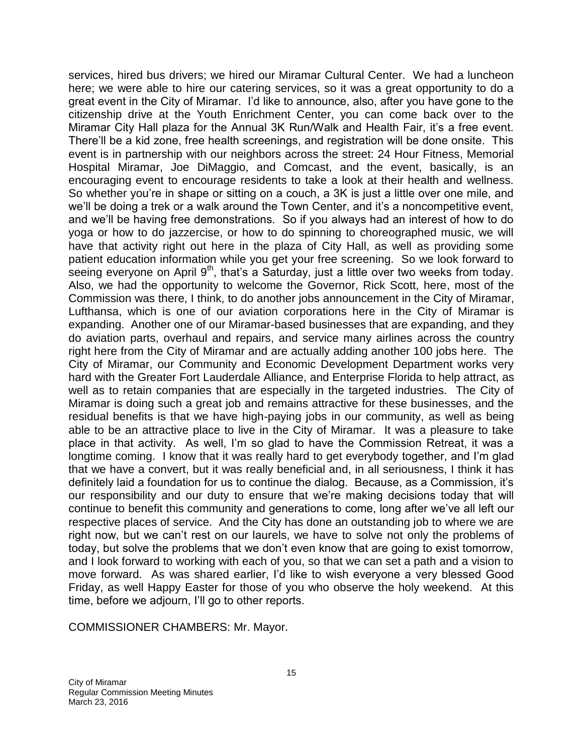services, hired bus drivers; we hired our Miramar Cultural Center. We had a luncheon here; we were able to hire our catering services, so it was a great opportunity to do a great event in the City of Miramar. I'd like to announce, also, after you have gone to the citizenship drive at the Youth Enrichment Center, you can come back over to the Miramar City Hall plaza for the Annual 3K Run/Walk and Health Fair, it's a free event. There'll be a kid zone, free health screenings, and registration will be done onsite. This event is in partnership with our neighbors across the street: 24 Hour Fitness, Memorial Hospital Miramar, Joe DiMaggio, and Comcast, and the event, basically, is an encouraging event to encourage residents to take a look at their health and wellness. So whether you're in shape or sitting on a couch, a 3K is just a little over one mile, and we'll be doing a trek or a walk around the Town Center, and it's a noncompetitive event, and we'll be having free demonstrations. So if you always had an interest of how to do yoga or how to do jazzercise, or how to do spinning to choreographed music, we will have that activity right out here in the plaza of City Hall, as well as providing some patient education information while you get your free screening. So we look forward to seeing everyone on April  $9<sup>th</sup>$ , that's a Saturday, just a little over two weeks from today. Also, we had the opportunity to welcome the Governor, Rick Scott, here, most of the Commission was there, I think, to do another jobs announcement in the City of Miramar, Lufthansa, which is one of our aviation corporations here in the City of Miramar is expanding. Another one of our Miramar-based businesses that are expanding, and they do aviation parts, overhaul and repairs, and service many airlines across the country right here from the City of Miramar and are actually adding another 100 jobs here. The City of Miramar, our Community and Economic Development Department works very hard with the Greater Fort Lauderdale Alliance, and Enterprise Florida to help attract, as well as to retain companies that are especially in the targeted industries. The City of Miramar is doing such a great job and remains attractive for these businesses, and the residual benefits is that we have high-paying jobs in our community, as well as being able to be an attractive place to live in the City of Miramar. It was a pleasure to take place in that activity. As well, I'm so glad to have the Commission Retreat, it was a longtime coming. I know that it was really hard to get everybody together, and I'm glad that we have a convert, but it was really beneficial and, in all seriousness, I think it has definitely laid a foundation for us to continue the dialog. Because, as a Commission, it's our responsibility and our duty to ensure that we're making decisions today that will continue to benefit this community and generations to come, long after we've all left our respective places of service. And the City has done an outstanding job to where we are right now, but we can't rest on our laurels, we have to solve not only the problems of today, but solve the problems that we don't even know that are going to exist tomorrow, and I look forward to working with each of you, so that we can set a path and a vision to move forward. As was shared earlier, I'd like to wish everyone a very blessed Good Friday, as well Happy Easter for those of you who observe the holy weekend. At this time, before we adjourn, I'll go to other reports.

COMMISSIONER CHAMBERS: Mr. Mayor.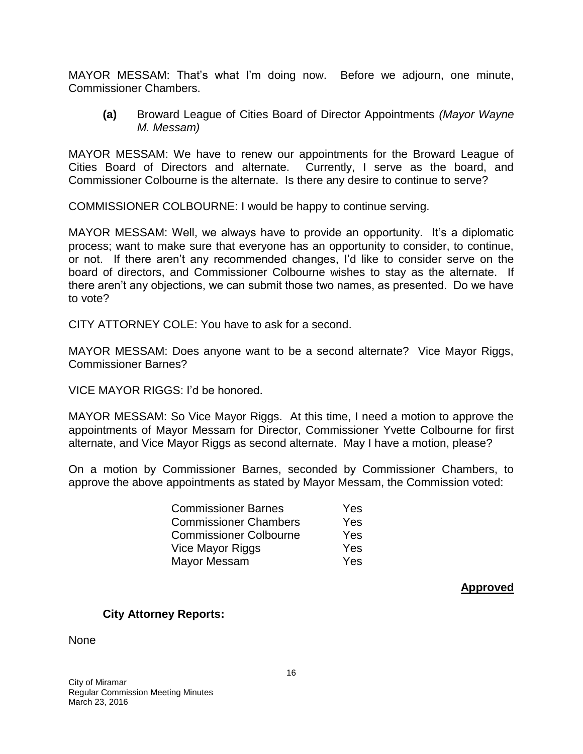MAYOR MESSAM: That's what I'm doing now. Before we adjourn, one minute, Commissioner Chambers.

**(a)** Broward League of Cities Board of Director Appointments *(Mayor Wayne M. Messam)*

MAYOR MESSAM: We have to renew our appointments for the Broward League of Cities Board of Directors and alternate. Currently, I serve as the board, and Commissioner Colbourne is the alternate. Is there any desire to continue to serve?

COMMISSIONER COLBOURNE: I would be happy to continue serving.

MAYOR MESSAM: Well, we always have to provide an opportunity. It's a diplomatic process; want to make sure that everyone has an opportunity to consider, to continue, or not. If there aren't any recommended changes, I'd like to consider serve on the board of directors, and Commissioner Colbourne wishes to stay as the alternate. If there aren't any objections, we can submit those two names, as presented. Do we have to vote?

CITY ATTORNEY COLE: You have to ask for a second.

MAYOR MESSAM: Does anyone want to be a second alternate? Vice Mayor Riggs, Commissioner Barnes?

VICE MAYOR RIGGS: I'd be honored.

MAYOR MESSAM: So Vice Mayor Riggs. At this time, I need a motion to approve the appointments of Mayor Messam for Director, Commissioner Yvette Colbourne for first alternate, and Vice Mayor Riggs as second alternate. May I have a motion, please?

On a motion by Commissioner Barnes, seconded by Commissioner Chambers, to approve the above appointments as stated by Mayor Messam, the Commission voted:

| <b>Commissioner Barnes</b>    | Yes |
|-------------------------------|-----|
| <b>Commissioner Chambers</b>  | Yes |
| <b>Commissioner Colbourne</b> | Yes |
| Vice Mayor Riggs              | Yes |
| Mayor Messam                  | Yes |

**Approved**

### **City Attorney Reports:**

None